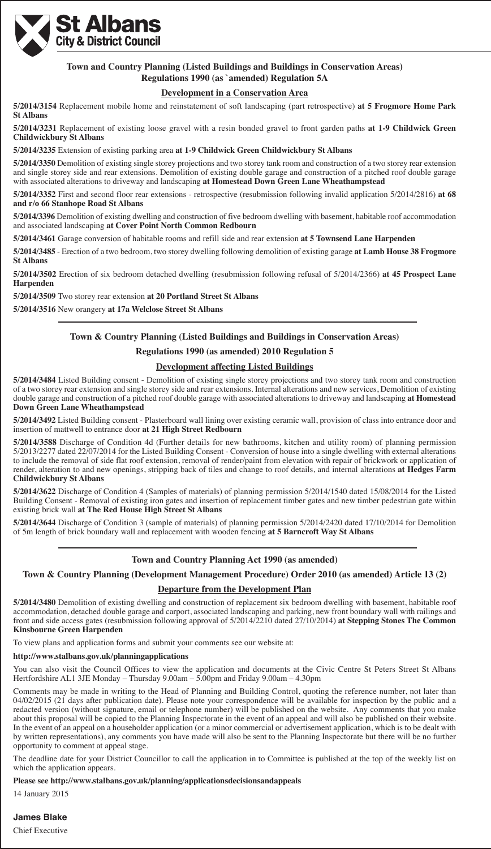

# **Town and Country Planning (Listed Buildings and Buildings in Conservation Areas) Regulations 1990 (as `amended) Regulation 5A**

# **Development in a Conservation Area**

**5/2014/3154** Replacement mobile home and reinstatement of soft landscaping (part retrospective) **at 5 Frogmore Home Park St Albans**

**5/2014/3231** Replacement of existing loose gravel with a resin bonded gravel to front garden paths **at 1-9 Childwick Green Childwickbury St Albans**

**5/2014/3235** Extension of existing parking area **at 1-9 Childwick Green Childwickbury St Albans**

**5/2014/3350** Demolition of existing single storey projections and two storey tank room and construction of a two storey rear extension and single storey side and rear extensions. Demolition of existing double garage and construction of a pitched roof double garage with associated alterations to driveway and landscaping **at Homestead Down Green Lane Wheathampstead**

**5/2014/3352** First and second floor rear extensions - retrospective (resubmission following invalid application 5/2014/2816) **at 68 and r/o 66 Stanhope Road St Albans**

**5/2014/3396** Demolition of existing dwelling and construction of five bedroom dwelling with basement, habitable roof accommodation and associated landscaping **at Cover Point North Common Redbourn**

**5/2014/3461** Garage conversion of habitable rooms and refill side and rear extension **at 5 Townsend Lane Harpenden**

**5/2014/3485** - Erection of a two bedroom, two storey dwelling following demolition of existing garage **at Lamb House 38 Frogmore St Albans**

**5/2014/3502** Erection of six bedroom detached dwelling (resubmission following refusal of 5/2014/2366) **at 45 Prospect Lane Harpenden**

**5/2014/3509** Two storey rear extension **at 20 Portland Street St Albans**

**5/2014/3516** New orangery **at 17a Welclose Street St Albans**

# **Town & Country Planning (Listed Buildings and Buildings in Conservation Areas)**

**Regulations 1990 (as amended) 2010 Regulation 5**

# **Development affecting Listed Buildings**

**5/2014/3484** Listed Building consent - Demolition of existing single storey projections and two storey tank room and construction of a two storey rear extension and single storey side and rear extensions. Internal alterations and new services, Demolition of existing double garage and construction of a pitched roof double garage with associated alterations to driveway and landscaping **at Homestead Down Green Lane Wheathampstead**

**5/2014/3492** Listed Building consent - Plasterboard wall lining over existing ceramic wall, provision of class into entrance door and insertion of mattwell to entrance door **at 21 High Street Redbourn**

**5/2014/3588** Discharge of Condition 4d (Further details for new bathrooms, kitchen and utility room) of planning permission 5/2013/2277 dated 22/07/2014 for the Listed Building Consent - Conversion of house into a single dwelling with external alterations to include the removal of side flat roof extension, removal of render/paint from elevation with repair of brickwork or application of render, alteration to and new openings, stripping back of tiles and change to roof details, and internal alterations **at Hedges Farm Childwickbury St Albans**

**5/2014/3622** Discharge of Condition 4 (Samples of materials) of planning permission 5/2014/1540 dated 15/08/2014 for the Listed Building Consent - Removal of existing iron gates and insertion of replacement timber gates and new timber pedestrian gate within existing brick wall **at The Red House High Street St Albans**

**5/2014/3644** Discharge of Condition 3 (sample of materials) of planning permission 5/2014/2420 dated 17/10/2014 for Demolition of 5m length of brick boundary wall and replacement with wooden fencing **at 5 Barncroft Way St Albans**

# **Town and Country Planning Act 1990 (as amended)**

**Town & Country Planning (Development Management Procedure) Order 2010 (as amended) Article 13 (2)**

# **Departure from the Development Plan**

**5/2014/3480** Demolition of existing dwelling and construction of replacement six bedroom dwelling with basement, habitable roof accommodation, detached double garage and carport, associated landscaping and parking, new front boundary wall with railings and front and side access gates (resubmission following approval of 5/2014/2210 dated 27/10/2014) **at Stepping Stones The Common Kinsbourne Green Harpenden**

To view plans and application forms and submit your comments see our website at:

#### **http://www.stalbans.gov.uk/planningapplications**

You can also visit the Council Offices to view the application and documents at the Civic Centre St Peters Street St Albans Hertfordshire AL1 3JE Monday – Thursday 9.00am – 5.00pm and Friday 9.00am – 4.30pm

Comments may be made in writing to the Head of Planning and Building Control, quoting the reference number, not later than 04/02/2015 (21 days after publication date). Please note your correspondence will be available for inspection by the public and a redacted version (without signature, email or telephone number) will be published on the website. Any comments that you make about this proposal will be copied to the Planning Inspectorate in the event of an appeal and will also be published on their website. In the event of an appeal on a householder application (or a minor commercial or advertisement application, which is to be dealt with by written representations), any comments you have made will also be sent to the Planning Inspectorate but there will be no further opportunity to comment at appeal stage.

The deadline date for your District Councillor to call the application in to Committee is published at the top of the weekly list on which the application appears.

#### **Please see http://www.stalbans.gov.uk/planning/applicationsdecisionsandappeals**

14 January 2015

# **James Blake**

#### Chief Executive